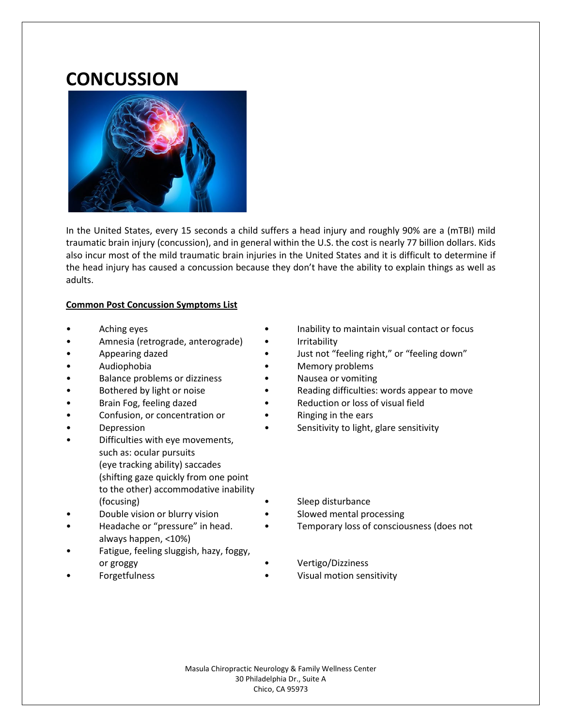# **CONCUSSION**



In the United States, every 15 seconds a child suffers a head injury and roughly 90% are a (mTBI) mild traumatic brain injury (concussion), and in general within the U.S. the cost is nearly 77 billion dollars. Kids also incur most of the mild traumatic brain injuries in the United States and it is difficult to determine if the head injury has caused a concussion because they don't have the ability to explain things as well as adults.

# **Common Post Concussion Symptoms List**

- 
- Amnesia (retrograde, anterograde) Irritability
- 
- 
- Balance problems or dizziness **•** Nausea or vomiting
- 
- 
- Confusion, or concentration or Ringing in the ears
- 
- Difficulties with eye movements, such as: ocular pursuits (eye tracking ability) saccades (shifting gaze quickly from one point to the other) accommodative inability (focusing) • Sleep disturbance
- Double vision or blurry vision Slowed mental processing
- always happen, <10%)
- Fatigue, feeling sluggish, hazy, foggy, or groggy • Vertigo/Dizziness
- 
- Aching eyes Inability to maintain visual contact or focus
	-
- Appearing dazed **•** Just not "feeling right," or "feeling down"
- Audiophobia Memory problems
	-
- Bothered by light or noise Reading difficulties: words appear to move
- Brain Fog, feeling dazed **•** Reduction or loss of visual field
	-
- **Depression •** Sensitivity to light, glare sensitivity
	-
	-
- Headache or "pressure" in head. Temporary loss of consciousness (does not
	-
- Forgetfulness Visual motion sensitivity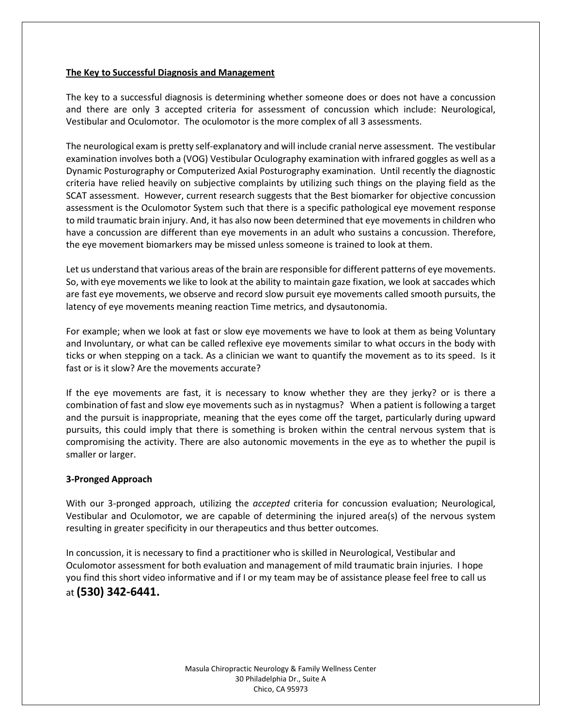### **The Key to Successful Diagnosis and Management**

The key to a successful diagnosis is determining whether someone does or does not have a concussion and there are only 3 accepted criteria for assessment of concussion which include: Neurological, Vestibular and Oculomotor. The oculomotor is the more complex of all 3 assessments.

The neurological exam is pretty self-explanatory and will include cranial nerve assessment. The vestibular examination involves both a (VOG) Vestibular Oculography examination with infrared goggles as well as a Dynamic Posturography or Computerized Axial Posturography examination. Until recently the diagnostic criteria have relied heavily on subjective complaints by utilizing such things on the playing field as the SCAT assessment. However, current research suggests that the Best biomarker for objective concussion assessment is the Oculomotor System such that there is a specific pathological eye movement response to mild traumatic brain injury. And, it has also now been determined that eye movements in children who have a concussion are different than eye movements in an adult who sustains a concussion. Therefore, the eye movement biomarkers may be missed unless someone is trained to look at them.

Let us understand that various areas of the brain are responsible for different patterns of eye movements. So, with eye movements we like to look at the ability to maintain gaze fixation, we look at saccades which are fast eye movements, we observe and record slow pursuit eye movements called smooth pursuits, the latency of eye movements meaning reaction Time metrics, and dysautonomia.

For example; when we look at fast or slow eye movements we have to look at them as being Voluntary and Involuntary, or what can be called reflexive eye movements similar to what occurs in the body with ticks or when stepping on a tack. As a clinician we want to quantify the movement as to its speed. Is it fast or is it slow? Are the movements accurate?

If the eye movements are fast, it is necessary to know whether they are they jerky? or is there a combination of fast and slow eye movements such as in nystagmus? When a patient is following a target and the pursuit is inappropriate, meaning that the eyes come off the target, particularly during upward pursuits, this could imply that there is something is broken within the central nervous system that is compromising the activity. There are also autonomic movements in the eye as to whether the pupil is smaller or larger.

# **3-Pronged Approach**

With our 3-pronged approach, utilizing the *accepted* criteria for concussion evaluation; Neurological, Vestibular and Oculomotor, we are capable of determining the injured area(s) of the nervous system resulting in greater specificity in our therapeutics and thus better outcomes.

In concussion, it is necessary to find a practitioner who is skilled in Neurological, Vestibular and Oculomotor assessment for both evaluation and management of mild traumatic brain injuries. I hope you find this short video informative and if I or my team may be of assistance please feel free to call us at **(530) 342-6441.**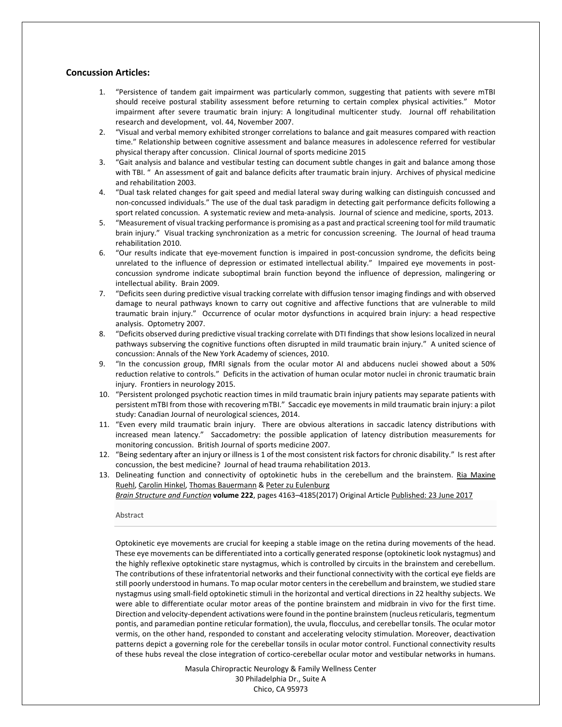#### **Concussion Articles:**

- 1. "Persistence of tandem gait impairment was particularly common, suggesting that patients with severe mTBI should receive postural stability assessment before returning to certain complex physical activities." Motor impairment after severe traumatic brain injury: A longitudinal multicenter study. Journal off rehabilitation research and development, vol. 44, November 2007.
- 2. "Visual and verbal memory exhibited stronger correlations to balance and gait measures compared with reaction time." Relationship between cognitive assessment and balance measures in adolescence referred for vestibular physical therapy after concussion. Clinical Journal of sports medicine 2015
- 3. "Gait analysis and balance and vestibular testing can document subtle changes in gait and balance among those with TBI. " An assessment of gait and balance deficits after traumatic brain injury. Archives of physical medicine and rehabilitation 2003.
- 4. "Dual task related changes for gait speed and medial lateral sway during walking can distinguish concussed and non-concussed individuals." The use of the dual task paradigm in detecting gait performance deficits following a sport related concussion. A systematic review and meta-analysis. Journal of science and medicine, sports, 2013.
- 5. "Measurement of visual tracking performance is promising as a past and practical screening tool for mild traumatic brain injury." Visual tracking synchronization as a metric for concussion screening. The Journal of head trauma rehabilitation 2010.
- 6. "Our results indicate that eye-movement function is impaired in post-concussion syndrome, the deficits being unrelated to the influence of depression or estimated intellectual ability." Impaired eye movements in postconcussion syndrome indicate suboptimal brain function beyond the influence of depression, malingering or intellectual ability. Brain 2009.
- 7. "Deficits seen during predictive visual tracking correlate with diffusion tensor imaging findings and with observed damage to neural pathways known to carry out cognitive and affective functions that are vulnerable to mild traumatic brain injury." Occurrence of ocular motor dysfunctions in acquired brain injury: a head respective analysis. Optometry 2007.
- 8. "Deficits observed during predictive visual tracking correlate with DTI findings that show lesions localized in neural pathways subserving the cognitive functions often disrupted in mild traumatic brain injury." A united science of concussion: Annals of the New York Academy of sciences, 2010.
- 9. "In the concussion group, fMRI signals from the ocular motor AI and abducens nuclei showed about a 50% reduction relative to controls." Deficits in the activation of human ocular motor nuclei in chronic traumatic brain injury. Frontiers in neurology 2015.
- 10. "Persistent prolonged psychotic reaction times in mild traumatic brain injury patients may separate patients with persistent mTBI from those with recovering mTBI." Saccadic eye movements in mild traumatic brain injury: a pilot study: Canadian Journal of neurological sciences, 2014.
- 11. "Even every mild traumatic brain injury. There are obvious alterations in saccadic latency distributions with increased mean latency." Saccadometry: the possible application of latency distribution measurements for monitoring concussion. British Journal of sports medicine 2007.
- 12. "Being sedentary after an injury or illness is 1 of the most consistent risk factors for chronic disability." Is rest after concussion, the best medicine? Journal of head trauma rehabilitation 2013.
- 13. Delineating function and connectivity of optokinetic hubs in the cerebellum and the brainstem. [Ria Maxine](javascript:;)  [Ruehl,](javascript:;) [Carolin Hinkel,](javascript:;) [Thomas Bauermann](javascript:;) & [Peter zu Eulenburg](javascript:;)

*[Brain Structure and Function](https://link.springer.com/journal/429)* **volume 222**, pages 4163–4185(2017) Original Article Published: [23 June 2017](https://link.springer.com/article/10.1007/s00429-017-1461-8#article-info)

**Abstract** 

Optokinetic eye movements are crucial for keeping a stable image on the retina during movements of the head. These eye movements can be differentiated into a cortically generated response (optokinetic look nystagmus) and the highly reflexive optokinetic stare nystagmus, which is controlled by circuits in the brainstem and cerebellum. The contributions of these infratentorial networks and their functional connectivity with the cortical eye fields are still poorly understood in humans. To map ocular motor centers in the cerebellum and brainstem, we studied stare nystagmus using small-field optokinetic stimuli in the horizontal and vertical directions in 22 healthy subjects. We were able to differentiate ocular motor areas of the pontine brainstem and midbrain in vivo for the first time. Direction and velocity-dependent activations were found in the pontine brainstem (nucleus reticularis, tegmentum pontis, and paramedian pontine reticular formation), the uvula, flocculus, and cerebellar tonsils. The ocular motor vermis, on the other hand, responded to constant and accelerating velocity stimulation. Moreover, deactivation patterns depict a governing role for the cerebellar tonsils in ocular motor control. Functional connectivity results of these hubs reveal the close integration of cortico-cerebellar ocular motor and vestibular networks in humans.

> Masula Chiropractic Neurology & Family Wellness Center 30 Philadelphia Dr., Suite A Chico, CA 95973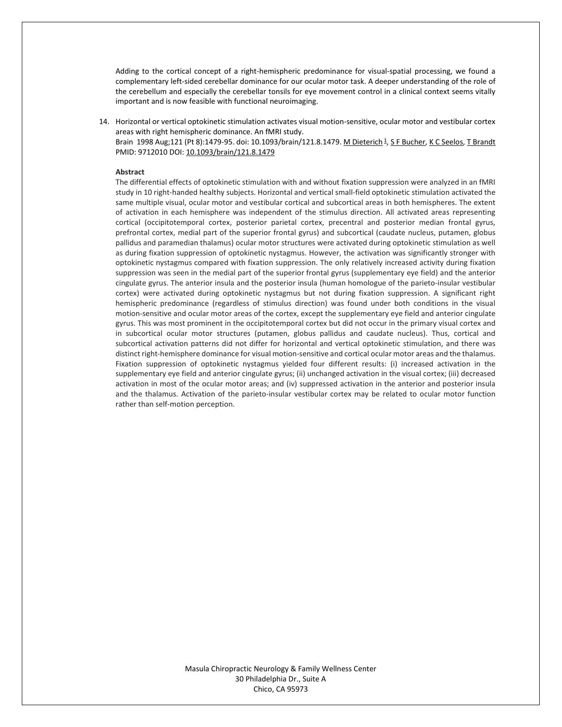Adding to the cortical concept of a right-hemispheric predominance for visual-spatial processing, we found a complementary left-sided cerebellar dominance for our ocular motor task. A deeper understanding of the role of the cerebellum and especially the cerebellar tonsils for eye movement control in a clinical context seems vitally important and is now feasible with functional neuroimaging.

14. Horizontal or vertical optokinetic stimulation activates visual motion-sensitive, ocular motor and vestibular cortex areas with right hemispheric dominance. An fMRI study.

Brain 1998 Aug;121 (Pt 8):1479-95. doi: 10.1093/brain/121.8.1479. [M Dieterich](https://pubmed.ncbi.nlm.nih.gov/?term=Dieterich+M&cauthor_id=9712010)<sup>1</sup>, [S F Bucher,](https://pubmed.ncbi.nlm.nih.gov/?term=Bucher+SF&cauthor_id=9712010) K [C Seelos,](https://pubmed.ncbi.nlm.nih.gov/?term=Seelos+KC&cauthor_id=9712010) [T Brandt](https://pubmed.ncbi.nlm.nih.gov/?term=Brandt+T&cauthor_id=9712010) PMID: 9712010 DOI: [10.1093/brain/121.8.1479](https://doi.org/10.1093/brain/121.8.1479)

#### **Abstract**

The differential effects of optokinetic stimulation with and without fixation suppression were analyzed in an fMRI study in 10 right-handed healthy subjects. Horizontal and vertical small-field optokinetic stimulation activated the same multiple visual, ocular motor and vestibular cortical and subcortical areas in both hemispheres. The extent of activation in each hemisphere was independent of the stimulus direction. All activated areas representing cortical (occipitotemporal cortex, posterior parietal cortex, precentral and posterior median frontal gyrus, prefrontal cortex, medial part of the superior frontal gyrus) and subcortical (caudate nucleus, putamen, globus pallidus and paramedian thalamus) ocular motor structures were activated during optokinetic stimulation as well as during fixation suppression of optokinetic nystagmus. However, the activation was significantly stronger with optokinetic nystagmus compared with fixation suppression. The only relatively increased activity during fixation suppression was seen in the medial part of the superior frontal gyrus (supplementary eye field) and the anterior cingulate gyrus. The anterior insula and the posterior insula (human homologue of the parieto-insular vestibular cortex) were activated during optokinetic nystagmus but not during fixation suppression. A significant right hemispheric predominance (regardless of stimulus direction) was found under both conditions in the visual motion-sensitive and ocular motor areas of the cortex, except the supplementary eye field and anterior cingulate gyrus. This was most prominent in the occipitotemporal cortex but did not occur in the primary visual cortex and in subcortical ocular motor structures (putamen, globus pallidus and caudate nucleus). Thus, cortical and subcortical activation patterns did not differ for horizontal and vertical optokinetic stimulation, and there was distinct right-hemisphere dominance for visual motion-sensitive and cortical ocular motor areas and the thalamus. Fixation suppression of optokinetic nystagmus yielded four different results: (i) increased activation in the supplementary eye field and anterior cingulate gyrus; (ii) unchanged activation in the visual cortex; (iii) decreased activation in most of the ocular motor areas; and (iv) suppressed activation in the anterior and posterior insula and the thalamus. Activation of the parieto-insular vestibular cortex may be related to ocular motor function rather than self-motion perception.